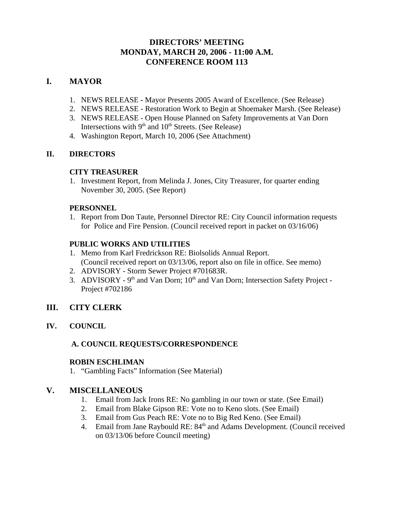## **DIRECTORS' MEETING MONDAY, MARCH 20, 2006 - 11:00 A.M. CONFERENCE ROOM 113**

## **I. MAYOR**

- 1. NEWS RELEASE **-** Mayor Presents 2005 Award of Excellence. (See Release)
- 2. NEWS RELEASE Restoration Work to Begin at Shoemaker Marsh. (See Release)
- 3. NEWS RELEASE Open House Planned on Safety Improvements at Van Dorn Intersections with  $9<sup>th</sup>$  and  $10<sup>th</sup>$  Streets. (See Release)
- 4. Washington Report, March 10, 2006 (See Attachment)

### **II. DIRECTORS**

### **CITY TREASURER**

1. Investment Report, from Melinda J. Jones, City Treasurer, for quarter ending November 30, 2005. (See Report)

### **PERSONNEL**

1. Report from Don Taute, Personnel Director RE: City Council information requests for Police and Fire Pension. (Council received report in packet on 03/16/06)

### **PUBLIC WORKS AND UTILITIES**

- 1. Memo from Karl Fredrickson RE: Biolsolids Annual Report. (Council received report on 03/13/06, report also on file in office. See memo)
- 2. ADVISORY Storm Sewer Project #701683R.
- 3. ADVISORY 9<sup>th</sup> and Van Dorn; 10<sup>th</sup> and Van Dorn; Intersection Safety Project -Project #702186

### **III. CITY CLERK**

**IV. COUNCIL**

### **A. COUNCIL REQUESTS/CORRESPONDENCE**

### **ROBIN ESCHLIMAN**

1. "Gambling Facts" Information (See Material)

### **V. MISCELLANEOUS**

- 1. Email from Jack Irons RE: No gambling in our town or state. (See Email)
- 2. Email from Blake Gipson RE: Vote no to Keno slots. (See Email)
- 3. Email from Gus Peach RE: Vote no to Big Red Keno. (See Email)
- 4. Email from Jane Raybould RE: 84<sup>th</sup> and Adams Development. (Council received on 03/13/06 before Council meeting)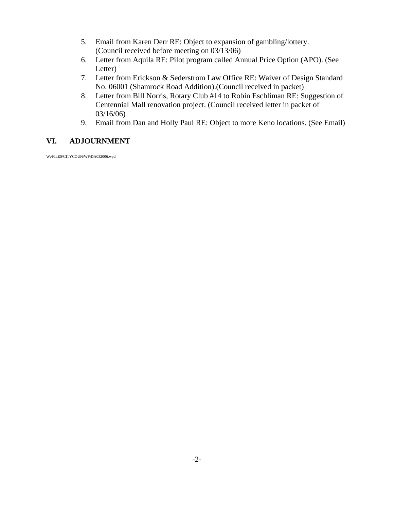- 5. Email from Karen Derr RE: Object to expansion of gambling/lottery. (Council received before meeting on 03/13/06)
- 6. Letter from Aquila RE: Pilot program called Annual Price Option (APO). (See Letter)
- 7. Letter from Erickson & Sederstrom Law Office RE: Waiver of Design Standard No. 06001 (Shamrock Road Addition).(Council received in packet)
- 8. Letter from Bill Norris, Rotary Club #14 to Robin Eschliman RE: Suggestion of Centennial Mall renovation project. (Council received letter in packet of 03/16/06)
- 9. Email from Dan and Holly Paul RE: Object to more Keno locations. (See Email)

#### **VI. ADJOURNMENT**

W:\FILES\CITYCOUN\WP\DA032006.wpd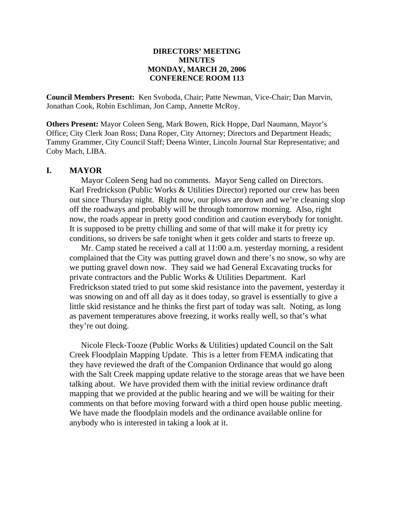#### **DIRECTORS' MEETING MINUTES MONDAY, MARCH 20, 2006 CONFERENCE ROOM 113**

**Council Members Present:** Ken Svoboda, Chair; Patte Newman, Vice-Chair; Dan Marvin, Jonathan Cook, Robin Eschliman, Jon Camp, Annette McRoy.

**Others Present:** Mayor Coleen Seng, Mark Bowen, Rick Hoppe, Darl Naumann, Mayor's Office; City Clerk Joan Ross; Dana Roper, City Attorney; Directors and Department Heads; Tammy Grammer, City Council Staff; Deena Winter, Lincoln Journal Star Representative; and Coby Mach, LIBA.

#### **I. MAYOR**

Mayor Coleen Seng had no comments. Mayor Seng called on Directors. Karl Fredrickson (Public Works & Utilities Director) reported our crew has been out since Thursday night. Right now, our plows are down and we're cleaning slop off the roadways and probably will be through tomorrow morning. Also, right now, the roads appear in pretty good condition and caution everybody for tonight. It is supposed to be pretty chilling and some of that will make it for pretty icy conditions, so drivers be safe tonight when it gets colder and starts to freeze up.

Mr. Camp stated he received a call at 11:00 a.m. yesterday morning, a resident complained that the City was putting gravel down and there's no snow, so why are we putting gravel down now. They said we had General Excavating trucks for private contractors and the Public Works & Utilities Department. Karl Fredrickson stated tried to put some skid resistance into the pavement, yesterday it was snowing on and off all day as it does today, so gravel is essentially to give a little skid resistance and he thinks the first part of today was salt. Noting, as long as pavement temperatures above freezing, it works really well, so that's what they're out doing.

Nicole Fleck-Tooze (Public Works & Utilities) updated Council on the Salt Creek Floodplain Mapping Update. This is a letter from FEMA indicating that they have reviewed the draft of the Companion Ordinance that would go along with the Salt Creek mapping update relative to the storage areas that we have been talking about. We have provided them with the initial review ordinance draft mapping that we provided at the public hearing and we will be waiting for their comments on that before moving forward with a third open house public meeting. We have made the floodplain models and the ordinance available online for anybody who is interested in taking a look at it.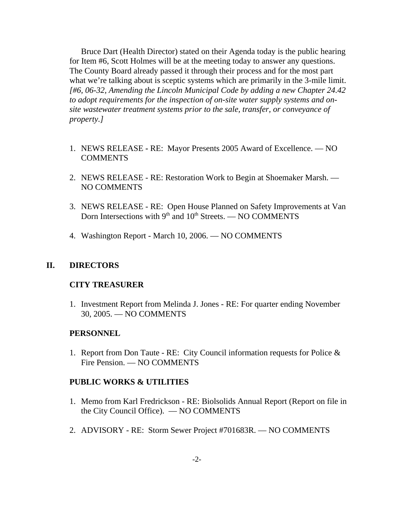Bruce Dart (Health Director) stated on their Agenda today is the public hearing for Item #6, Scott Holmes will be at the meeting today to answer any questions. The County Board already passed it through their process and for the most part what we're talking about is sceptic systems which are primarily in the 3-mile limit. *[#6, 06-32, Amending the Lincoln Municipal Code by adding a new Chapter 24.42 to adopt requirements for the inspection of on-site water supply systems and onsite wastewater treatment systems prior to the sale, transfer, or conveyance of property.]* 

- 1. NEWS RELEASE **-** RE: Mayor Presents 2005 Award of Excellence. NO **COMMENTS**
- 2. NEWS RELEASE RE: Restoration Work to Begin at Shoemaker Marsh. NO COMMENTS
- 3. NEWS RELEASE RE: Open House Planned on Safety Improvements at Van Dorn Intersections with  $9<sup>th</sup>$  and  $10<sup>th</sup>$  Streets. — NO COMMENTS
- 4. Washington Report March 10, 2006. NO COMMENTS

#### **II. DIRECTORS**

#### **CITY TREASURER**

1. Investment Report from Melinda J. Jones - RE: For quarter ending November 30, 2005. — NO COMMENTS

#### **PERSONNEL**

1. Report from Don Taute - RE: City Council information requests for Police & Fire Pension. — NO COMMENTS

#### **PUBLIC WORKS & UTILITIES**

- 1. Memo from Karl Fredrickson RE: Biolsolids Annual Report (Report on file in the City Council Office). — NO COMMENTS
- 2. ADVISORY RE: Storm Sewer Project #701683R. NO COMMENTS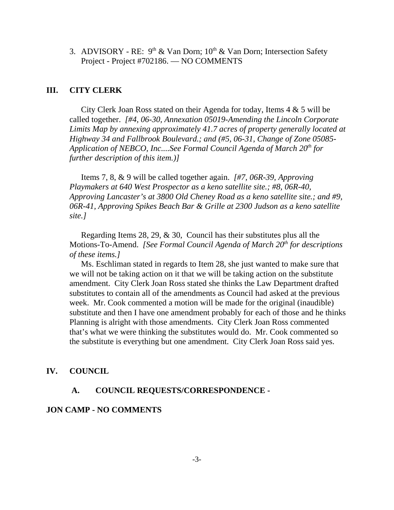3. ADVISORY - RE:  $9<sup>th</sup>$  & Van Dorn; 10<sup>th</sup> & Van Dorn; Intersection Safety Project - Project #702186. — NO COMMENTS

#### **III. CITY CLERK**

City Clerk Joan Ross stated on their Agenda for today, Items 4 & 5 will be called together. *[#4, 06-30, Annexation 05019-Amending the Lincoln Corporate Limits Map by annexing approximately 41.7 acres of property generally located at Highway 34 and Fallbrook Boulevard.; and (#5, 06-31, Change of Zone 05085- Application of NEBCO, Inc....See Formal Council Agenda of March 20<sup>th</sup> for further description of this item.)]* 

Items 7, 8, & 9 will be called together again. *[#7, 06R-39, Approving Playmakers at 640 West Prospector as a keno satellite site.; #8, 06R-40, Approving Lancaster's at 3800 Old Cheney Road as a keno satellite site.; and #9, 06R-41, Approving Spikes Beach Bar & Grille at 2300 Judson as a keno satellite site.]*

Regarding Items 28, 29, & 30, Council has their substitutes plus all the Motions-To-Amend. *[See Formal Council Agenda of March 20th for descriptions of these items.]* 

Ms. Eschliman stated in regards to Item 28, she just wanted to make sure that we will not be taking action on it that we will be taking action on the substitute amendment. City Clerk Joan Ross stated she thinks the Law Department drafted substitutes to contain all of the amendments as Council had asked at the previous week. Mr. Cook commented a motion will be made for the original (inaudible) substitute and then I have one amendment probably for each of those and he thinks Planning is alright with those amendments. City Clerk Joan Ross commented that's what we were thinking the substitutes would do. Mr. Cook commented so the substitute is everything but one amendment. City Clerk Joan Ross said yes.

#### **IV. COUNCIL**

#### **A. COUNCIL REQUESTS/CORRESPONDENCE -**

#### **JON CAMP - NO COMMENTS**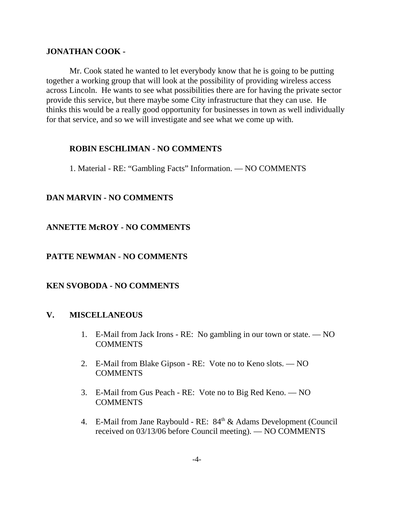### **JONATHAN COOK -**

Mr. Cook stated he wanted to let everybody know that he is going to be putting together a working group that will look at the possibility of providing wireless access across Lincoln. He wants to see what possibilities there are for having the private sector provide this service, but there maybe some City infrastructure that they can use. He thinks this would be a really good opportunity for businesses in town as well individually for that service, and so we will investigate and see what we come up with.

### **ROBIN ESCHLIMAN - NO COMMENTS**

1. Material - RE: "Gambling Facts" Information. — NO COMMENTS

## **DAN MARVIN - NO COMMENTS**

## **ANNETTE McROY - NO COMMENTS**

### **PATTE NEWMAN - NO COMMENTS**

### **KEN SVOBODA - NO COMMENTS**

### **V. MISCELLANEOUS**

- 1. E-Mail from Jack Irons RE: No gambling in our town or state. NO **COMMENTS**
- 2. E-Mail from Blake Gipson RE: Vote no to Keno slots. NO COMMENTS
- 3. E-Mail from Gus Peach RE: Vote no to Big Red Keno. NO COMMENTS
- 4. E-Mail from Jane Raybould RE:  $84<sup>th</sup>$  & Adams Development (Council) received on 03/13/06 before Council meeting). — NO COMMENTS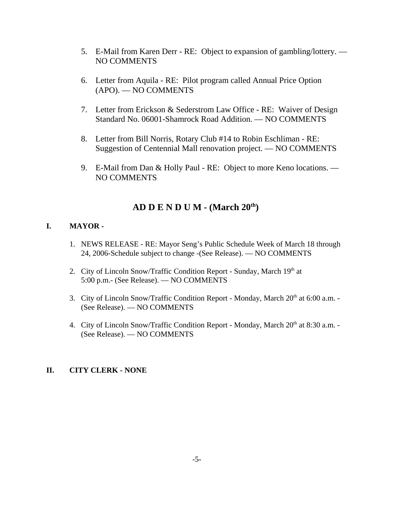- 5. E-Mail from Karen Derr RE: Object to expansion of gambling/lottery. NO COMMENTS
- 6. Letter from Aquila RE: Pilot program called Annual Price Option (APO). — NO COMMENTS
- 7. Letter from Erickson & Sederstrom Law Office RE: Waiver of Design Standard No. 06001-Shamrock Road Addition. — NO COMMENTS
- 8. Letter from Bill Norris, Rotary Club #14 to Robin Eschliman RE: Suggestion of Centennial Mall renovation project. — NO COMMENTS
- 9. E-Mail from Dan & Holly Paul RE: Object to more Keno locations. NO COMMENTS

# **AD D E N D U M - (March 20th)**

### **I. MAYOR -**

- 1. NEWS RELEASE RE: Mayor Seng's Public Schedule Week of March 18 through 24, 2006-Schedule subject to change -(See Release). — NO COMMENTS
- 2. City of Lincoln Snow/Traffic Condition Report Sunday, March 19th at 5:00 p.m.- (See Release). — NO COMMENTS
- 3. City of Lincoln Snow/Traffic Condition Report Monday, March  $20<sup>th</sup>$  at 6:00 a.m. -(See Release). — NO COMMENTS
- 4. City of Lincoln Snow/Traffic Condition Report Monday, March 20<sup>th</sup> at 8:30 a.m. -(See Release). — NO COMMENTS

### **II. CITY CLERK - NONE**